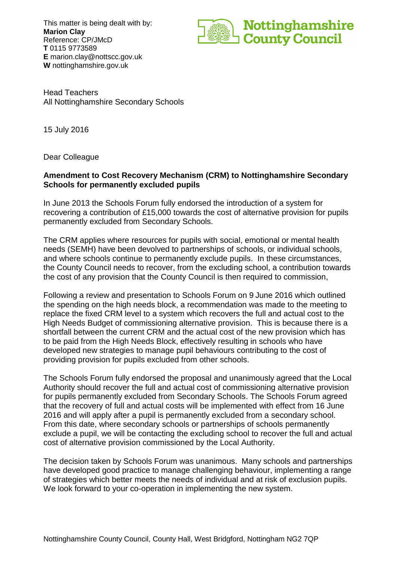This matter is being dealt with by: **Marion Clay** Reference: CP/JMcD **T** 0115 9773589 **E** marion.clay@nottscc.gov.uk **W** nottinghamshire.gov.uk



Head Teachers All Nottinghamshire Secondary Schools

15 July 2016

Dear Colleague

## **Amendment to Cost Recovery Mechanism (CRM) to Nottinghamshire Secondary Schools for permanently excluded pupils**

In June 2013 the Schools Forum fully endorsed the introduction of a system for recovering a contribution of £15,000 towards the cost of alternative provision for pupils permanently excluded from Secondary Schools.

The CRM applies where resources for pupils with social, emotional or mental health needs (SEMH) have been devolved to partnerships of schools, or individual schools, and where schools continue to permanently exclude pupils. In these circumstances, the County Council needs to recover, from the excluding school, a contribution towards the cost of any provision that the County Council is then required to commission,

Following a review and presentation to Schools Forum on 9 June 2016 which outlined the spending on the high needs block, a recommendation was made to the meeting to replace the fixed CRM level to a system which recovers the full and actual cost to the High Needs Budget of commissioning alternative provision. This is because there is a shortfall between the current CRM and the actual cost of the new provision which has to be paid from the High Needs Block, effectively resulting in schools who have developed new strategies to manage pupil behaviours contributing to the cost of providing provision for pupils excluded from other schools.

The Schools Forum fully endorsed the proposal and unanimously agreed that the Local Authority should recover the full and actual cost of commissioning alternative provision for pupils permanently excluded from Secondary Schools. The Schools Forum agreed that the recovery of full and actual costs will be implemented with effect from 16 June 2016 and will apply after a pupil is permanently excluded from a secondary school. From this date, where secondary schools or partnerships of schools permanently exclude a pupil, we will be contacting the excluding school to recover the full and actual cost of alternative provision commissioned by the Local Authority.

The decision taken by Schools Forum was unanimous. Many schools and partnerships have developed good practice to manage challenging behaviour, implementing a range of strategies which better meets the needs of individual and at risk of exclusion pupils. We look forward to your co-operation in implementing the new system.